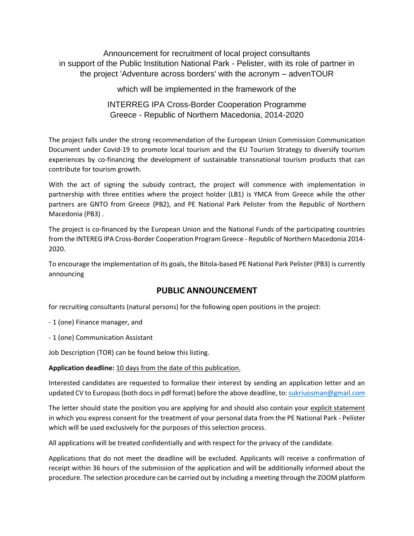Announcement for recruitment of local project consultants in support of the Public Institution National Park - Pelister, with its role of partner in the project 'Adventure across borders' with the acronym – advenTOUR

which will be implemented in the framework of the

INTERREG IPA Cross-Border Cooperation Programme Greece - Republic of Northern Macedonia, 2014-2020

The project falls under the strong recommendation of the European Union Commission Communication Document under Covid-19 to promote local tourism and the EU Tourism Strategy to diversify tourism experiences by co-financing the development of sustainable transnational tourism products that can contribute for tourism growth.

With the act of signing the subsidy contract, the project will commence with implementation in partnership with three entities where the project holder (LB1) is YMCA from Greece while the other partners are GNTO from Greece (PB2), and PE National Park Pelister from the Republic of Northern Macedonia (PB3) .

The project is co-financed by the European Union and the National Funds of the participating countries from the INTEREG IPA Cross-Border Cooperation Program Greece - Republic of Northern Macedonia 2014- 2020.

To encourage the implementation of its goals, the Bitola-based PE National Park Pelister (PB3) is currently announcing

## **PUBLIC ANNOUNCEMENT**

for recruiting consultants (natural persons) for the following open positions in the project:

- 1 (one) Finance manager, and

- 1 (one) Communication Assistant

Job Description (TOR) can be found below this listing.

## **Application deadline:** 10 days from the date of this publication.

Interested candidates are requested to formalize their interest by sending an application letter and an updated CV to Europass (both docs in pdf format) before the above deadline, to[: sukriuosman@gmail.com](mailto:sukriuosman@gmail.com)

The letter should state the position you are applying for and should also contain your explicit statement in which you express consent for the treatment of your personal data from the PE National Park - Pelister which will be used exclusively for the purposes of this selection process.

All applications will be treated confidentially and with respect for the privacy of the candidate.

Applications that do not meet the deadline will be excluded. Applicants will receive a confirmation of receipt within 36 hours of the submission of the application and will be additionally informed about the procedure. The selection procedure can be carried out by including a meeting through the ZOOM platform